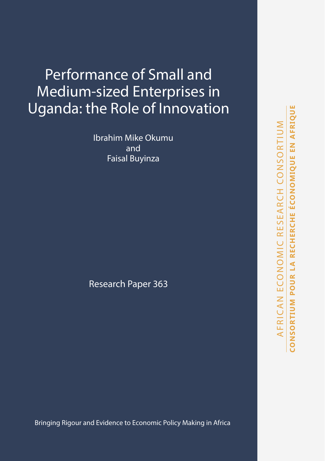# Performance of Small and Medium-sized Enterprises in Uganda: the Role of Innovation

Ibrahim Mike Okumu and Faisal Buyinza

Research Paper 363

Bringing Rigour and Evidence to Economic Policy Making in Africa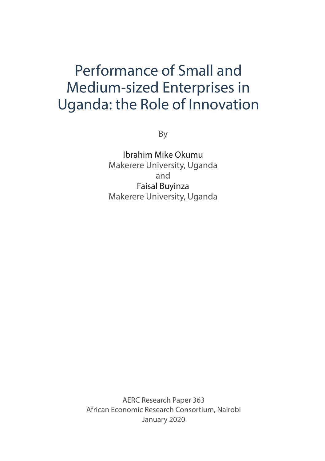# Performance of Small and Medium-sized Enterprises in Uganda: the Role of Innovation

By

Ibrahim Mike Okumu Makerere University, Uganda and Faisal Buyinza Makerere University, Uganda

AERC Research Paper 363 African Economic Research Consortium, Nairobi January 2020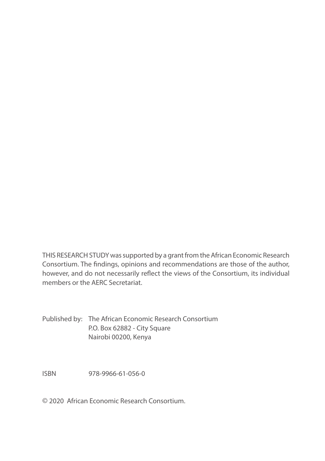THIS RESEARCH STUDY was supported by a grant from the African Economic Research Consortium. The findings, opinions and recommendations are those of the author, however, and do not necessarily reflect the views of the Consortium, its individual members or the AERC Secretariat.

Published by: The African Economic Research Consortium P.O. Box 62882 - City Square Nairobi 00200, Kenya

ISBN 978-9966-61-056-0

© 2020 African Economic Research Consortium.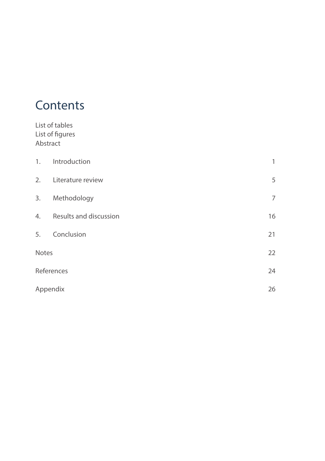# **Contents**

List of tables

| Abstract | List of figures        |                |
|----------|------------------------|----------------|
| 1.       | Introduction           | $\mathbf{1}$   |
|          | 2. Literature review   | 5              |
|          | 3. Methodology         | $\overline{7}$ |
| 4.       | Results and discussion | 16             |
| 5.       | Conclusion             | 21             |
| Notes    |                        | 22             |
|          | References             | 24             |
| Appendix |                        | 26             |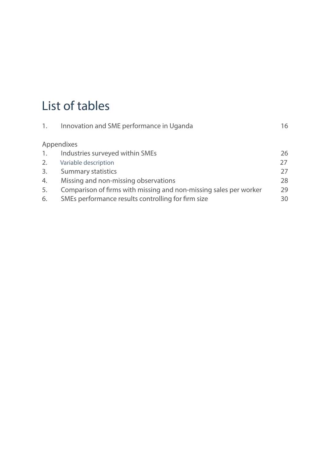# List of tables

| 1. | Innovation and SME performance in Uganda                          | 16 |
|----|-------------------------------------------------------------------|----|
|    | Appendixes                                                        |    |
| 1. | Industries surveyed within SMEs                                   | 26 |
| 2. | Variable description                                              | 27 |
| 3. | <b>Summary statistics</b>                                         | 27 |
| 4. | Missing and non-missing observations                              | 28 |
| 5. | Comparison of firms with missing and non-missing sales per worker | 29 |
| 6. | SMEs performance results controlling for firm size                | 30 |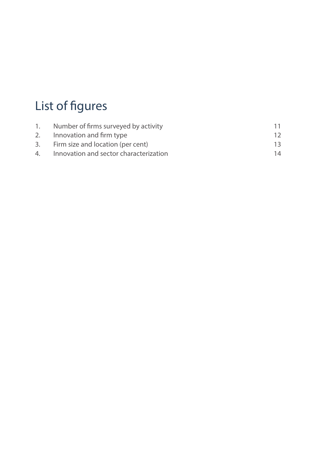# List of figures

| 1. Number of firms surveyed by activity   |    |
|-------------------------------------------|----|
| 2. Innovation and firm type               | 12 |
| 3. Firm size and location (per cent)      | 13 |
| 4. Innovation and sector characterization | 14 |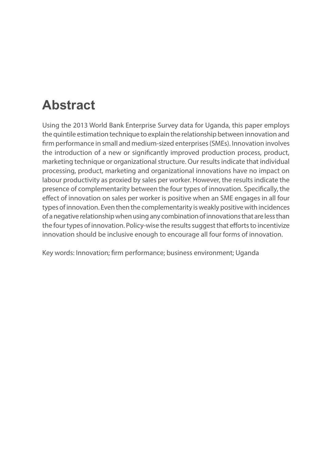# **Abstract**

Using the 2013 World Bank Enterprise Survey data for Uganda, this paper employs the quintile estimation technique to explain the relationship between innovation and firm performance in small and medium-sized enterprises (SMEs). Innovation involves the introduction of a new or significantly improved production process, product, marketing technique or organizational structure. Our results indicate that individual processing, product, marketing and organizational innovations have no impact on labour productivity as proxied by sales per worker. However, the results indicate the presence of complementarity between the four types of innovation. Specifically, the effect of innovation on sales per worker is positive when an SME engages in all four types of innovation. Even then the complementarity is weakly positive with incidences of a negative relationship when using any combination of innovations that are less than the four types of innovation. Policy-wise the results suggest that efforts to incentivize innovation should be inclusive enough to encourage all four forms of innovation.

Key words: Innovation; firm performance; business environment; Uganda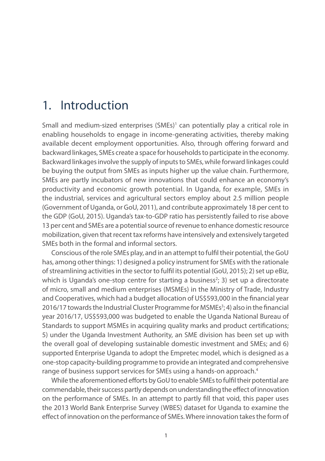## 1. Introduction

Small and medium-sized enterprises (SMEs)<sup>1</sup> can potentially play a critical role in enabling households to engage in income-generating activities, thereby making available decent employment opportunities. Also, through offering forward and backward linkages, SMEs create a space for households to participate in the economy. Backward linkages involve the supply of inputs to SMEs, while forward linkages could be buying the output from SMEs as inputs higher up the value chain. Furthermore, SMEs are partly incubators of new innovations that could enhance an economy's productivity and economic growth potential. In Uganda, for example, SMEs in the industrial, services and agricultural sectors employ about 2.5 million people (Government of Uganda, or GoU, 2011), and contribute approximately 18 per cent to the GDP (GoU, 2015). Uganda's tax-to-GDP ratio has persistently failed to rise above 13 per cent and SMEs are a potential source of revenue to enhance domestic resource mobilization, given that recent tax reforms have intensively and extensively targeted SMEs both in the formal and informal sectors.

Conscious of the role SMEs play, and in an attempt to fulfil their potential, the GoU has, among other things: 1) designed a policy instrument for SMEs with the rationale of streamlining activities in the sector to fulfil its potential (GoU, 2015); 2) set up eBiz, which is Uganda's one-stop centre for starting a business<sup>2</sup>; 3) set up a directorate of micro, small and medium enterprises (MSMEs) in the Ministry of Trade, Industry and Cooperatives, which had a budget allocation of US\$593,000 in the financial year 2016/17 towards the Industrial Cluster Programme for MSMEs<sup>3</sup>; 4) also in the financial year 2016/17, US\$593,000 was budgeted to enable the Uganda National Bureau of Standards to support MSMEs in acquiring quality marks and product certifications; 5) under the Uganda Investment Authority, an SME division has been set up with the overall goal of developing sustainable domestic investment and SMEs; and 6) supported Enterprise Uganda to adopt the Empretec model, which is designed as a one-stop capacity-building programme to provide an integrated and comprehensive range of business support services for SMEs using a hands-on approach.<sup>4</sup>

While the aforementioned efforts by GoU to enable SMEs to fulfil their potential are commendable, their success partly depends on understanding the effect of innovation on the performance of SMEs. In an attempt to partly fill that void, this paper uses the 2013 World Bank Enterprise Survey (WBES) dataset for Uganda to examine the effect of innovation on the performance of SMEs. Where innovation takes the form of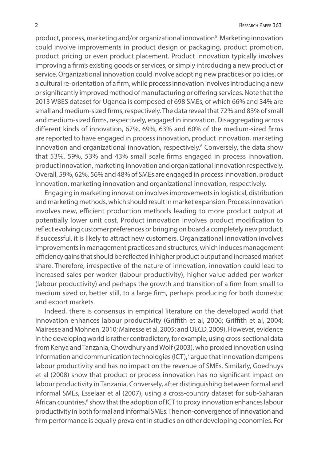product, process, marketing and/or organizational innovation<sup>5</sup>. Marketing innovation could involve improvements in product design or packaging, product promotion, product pricing or even product placement. Product innovation typically involves improving a firm's existing goods or services, or simply introducing a new product or service. Organizational innovation could involve adopting new practices or policies, or a cultural re-orientation of a firm, while process innovation involves introducing a new or significantly improved method of manufacturing or offering services. Note that the 2013 WBES dataset for Uganda is composed of 698 SMEs, of which 66% and 34% are small and medium-sized firms, respectively. The data reveal that 72% and 83% of small and medium-sized firms, respectively, engaged in innovation. Disaggregating across different kinds of innovation, 67%, 69%, 63% and 60% of the medium-sized firms are reported to have engaged in process innovation, product innovation, marketing innovation and organizational innovation, respectively.<sup>6</sup> Conversely, the data show that 53%, 59%, 53% and 43% small scale firms engaged in process innovation, product innovation, marketing innovation and organizational innovation respectively. Overall, 59%, 62%, 56% and 48% of SMEs are engaged in process innovation, product innovation, marketing innovation and organizational innovation, respectively.

Engaging in marketing innovation involves improvements in logistical, distribution and marketing methods, which should result in market expansion. Process innovation involves new, efficient production methods leading to more product output at potentially lower unit cost. Product innovation involves product modification to reflect evolving customer preferences or bringing on board a completely new product. If successful, it is likely to attract new customers. Organizational innovation involves improvements in management practices and structures, which induces management efficiency gains that should be reflected in higher product output and increased market share. Therefore, irrespective of the nature of innovation, innovation could lead to increased sales per worker (labour productivity), higher value added per worker (labour productivity) and perhaps the growth and transition of a firm from small to medium sized or, better still, to a large firm, perhaps producing for both domestic and export markets.

Indeed, there is consensus in empirical literature on the developed world that innovation enhances labour productivity (Griffith et al, 2006; Griffith et al, 2004; Mairesse and Mohnen, 2010; Mairesse et al, 2005; and OECD, 2009). However, evidence in the developing world is rather contradictory, for example, using cross-sectional data from Kenya and Tanzania, Chowdhury and Wolf (2003), who proxied innovation using information and communication technologies (ICT),7 argue that innovation dampens labour productivity and has no impact on the revenue of SMEs. Similarly, Goedhuys et al (2008) show that product or process innovation has no significant impact on labour productivity in Tanzania. Conversely, after distinguishing between formal and informal SMEs, Esselaar et al (2007), using a cross-country dataset for sub-Saharan African countries,<sup>8</sup> show that the adoption of ICT to proxy innovation enhances labour productivity in both formal and informal SMEs. The non-convergence of innovation and firm performance is equally prevalent in studies on other developing economies. For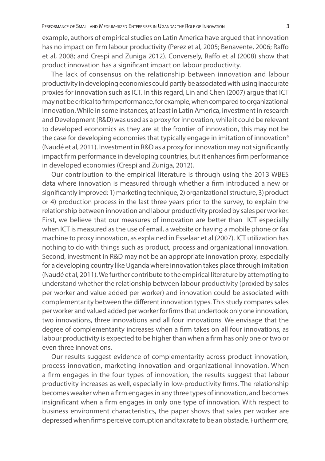example, authors of empirical studies on Latin America have argued that innovation has no impact on firm labour productivity (Perez et al, 2005; Benavente, 2006; Raffo et al, 2008; and Crespi and Zuniga 2012). Conversely, Raffo et al (2008) show that product innovation has a significant impact on labour productivity.

The lack of consensus on the relationship between innovation and labour productivity in developing economies could partly be associated with using inaccurate proxies for innovation such as ICT. In this regard, Lin and Chen (2007) argue that ICT may not be critical to firm performance, for example, when compared to organizational innovation. While in some instances, at least in Latin America, investment in research and Development (R&D) was used as a proxy for innovation, while it could be relevant to developed economics as they are at the frontier of innovation, this may not be the case for developing economies that typically engage in imitation of innovation<sup>9</sup> (Naudé et al, 2011). Investment in R&D as a proxy for innovation may not significantly impact firm performance in developing countries, but it enhances firm performance in developed economies (Crespi and Zuniga, 2012).

Our contribution to the empirical literature is through using the 2013 WBES data where innovation is measured through whether a firm introduced a new or significantly improved: 1) marketing technique, 2) organizational structure, 3) product or 4) production process in the last three years prior to the survey, to explain the relationship between innovation and labour productivity proxied by sales per worker. First, we believe that our measures of innovation are better than ICT especially when ICT is measured as the use of email, a website or having a mobile phone or fax machine to proxy innovation, as explained in Esselaar et al (2007). ICT utilization has nothing to do with things such as product, process and organizational innovation. Second, investment in R&D may not be an appropriate innovation proxy, especially for a developing country like Uganda where innovation takes place through imitation (Naudé et al, 2011). We further contribute to the empirical literature by attempting to understand whether the relationship between labour productivity (proxied by sales per worker and value added per worker) and innovation could be associated with complementarity between the different innovation types. This study compares sales per worker and valued added per worker for firms that undertook only one innovation, two innovations, three innovations and all four innovations. We envisage that the degree of complementarity increases when a firm takes on all four innovations, as labour productivity is expected to be higher than when a firm has only one or two or even three innovations.

Our results suggest evidence of complementarity across product innovation, process innovation, marketing innovation and organizational innovation. When a firm engages in the four types of innovation, the results suggest that labour productivity increases as well, especially in low-productivity firms. The relationship becomes weaker when a firm engages in any three types of innovation, and becomes insignificant when a firm engages in only one type of innovation. With respect to business environment characteristics, the paper shows that sales per worker are depressed when firms perceive corruption and tax rate to be an obstacle. Furthermore,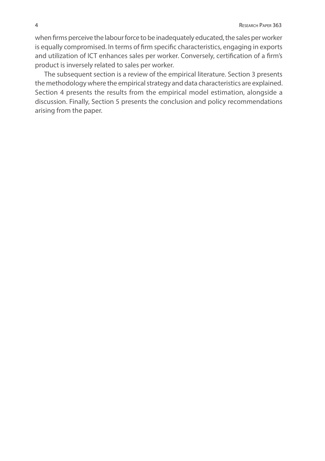when firms perceive the labour force to be inadequately educated, the sales per worker is equally compromised. In terms of firm specific characteristics, engaging in exports and utilization of ICT enhances sales per worker. Conversely, certification of a firm's product is inversely related to sales per worker.

The subsequent section is a review of the empirical literature. Section 3 presents the methodology where the empirical strategy and data characteristics are explained. Section 4 presents the results from the empirical model estimation, alongside a discussion. Finally, Section 5 presents the conclusion and policy recommendations arising from the paper.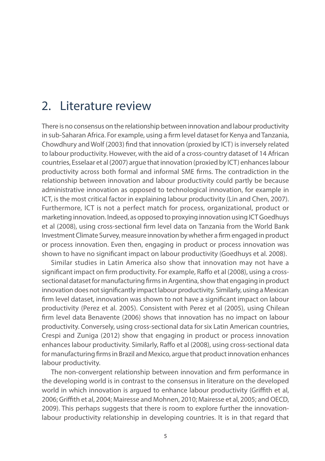## 2. Literature review

There is no consensus on the relationship between innovation and labour productivity in sub-Saharan Africa. For example, using a firm level dataset for Kenya and Tanzania, Chowdhury and Wolf (2003) find that innovation (proxied by ICT) is inversely related to labour productivity. However, with the aid of a cross-country dataset of 14 African countries, Esselaar et al (2007) argue that innovation (proxied by ICT) enhances labour productivity across both formal and informal SME firms. The contradiction in the relationship between innovation and labour productivity could partly be because administrative innovation as opposed to technological innovation, for example in ICT, is the most critical factor in explaining labour productivity (Lin and Chen, 2007). Furthermore, ICT is not a perfect match for process, organizational, product or marketing innovation. Indeed, as opposed to proxying innovation using ICT Goedhuys et al (2008), using cross-sectional firm level data on Tanzania from the World Bank Investment Climate Survey, measure innovation by whether a firm engaged in product or process innovation. Even then, engaging in product or process innovation was shown to have no significant impact on labour productivity (Goedhuys et al. 2008).

Similar studies in Latin America also show that innovation may not have a significant impact on firm productivity. For example, Raffo et al (2008), using a crosssectional dataset for manufacturing firms in Argentina, show that engaging in product innovation does not significantly impact labour productivity. Similarly, using a Mexican firm level dataset, innovation was shown to not have a significant impact on labour productivity (Perez et al. 2005). Consistent with Perez et al (2005), using Chilean firm level data Benavente (2006) shows that innovation has no impact on labour productivity. Conversely, using cross-sectional data for six Latin American countries, Crespi and Zuniga (2012) show that engaging in product or process innovation enhances labour productivity. Similarly, Raffo et al (2008), using cross-sectional data for manufacturing firms in Brazil and Mexico, argue that product innovation enhances labour productivity.

The non-convergent relationship between innovation and firm performance in the developing world is in contrast to the consensus in literature on the developed world in which innovation is argued to enhance labour productivity (Griffith et al, 2006; Griffith et al, 2004; Mairesse and Mohnen, 2010; Mairesse et al, 2005; and OECD, 2009). This perhaps suggests that there is room to explore further the innovationlabour productivity relationship in developing countries. It is in that regard that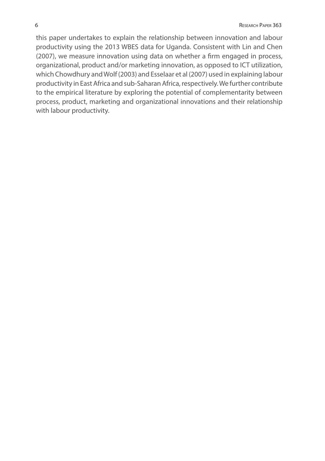this paper undertakes to explain the relationship between innovation and labour productivity using the 2013 WBES data for Uganda. Consistent with Lin and Chen (2007), we measure innovation using data on whether a firm engaged in process, organizational, product and/or marketing innovation, as opposed to ICT utilization, which Chowdhury and Wolf (2003) and Esselaar et al (2007) used in explaining labour productivity in East Africa and sub-Saharan Africa, respectively. We further contribute to the empirical literature by exploring the potential of complementarity between process, product, marketing and organizational innovations and their relationship with labour productivity.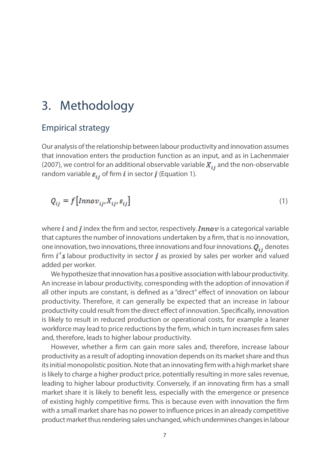### 3. Methodology

### Empirical strategy

Our analysis of the relationship between labour productivity and innovation assumes that innovation enters the production function as an input, and as in Lachenmaier (2007), we control for an additional observable variable  $X_{ij}$  and the non-observable random variable  $\varepsilon_{ij}$  of firm *i* in sector *j* (Equation 1).

$$
Q_{ij} = f\left[Innov_{ij}, X_{ij}, \varepsilon_{ij}\right]
$$
 (1)

where  $i$  and  $j$  index the firm and sector, respectively. *Innov* is a categorical variable that captures the number of innovations undertaken by a firm, that is no innovation, one innovation, two innovations, three innovations and four innovations.  $Q_{ij}$  denotes firm  $i'$ s labour productivity in sector *j* as proxied by sales per worker and valued added per worker.

We hypothesize that innovation has a positive association with labour productivity. An increase in labour productivity, corresponding with the adoption of innovation if all other inputs are constant, is defined as a "direct" effect of innovation on labour productivity. Therefore, it can generally be expected that an increase in labour productivity could result from the direct effect of innovation. Specifically, innovation is likely to result in reduced production or operational costs, for example a leaner workforce may lead to price reductions by the firm, which in turn increases firm sales and, therefore, leads to higher labour productivity.

However, whether a firm can gain more sales and, therefore, increase labour productivity as a result of adopting innovation depends on its market share and thus its initial monopolistic position. Note that an innovating firm with a high market share is likely to charge a higher product price, potentially resulting in more sales revenue, leading to higher labour productivity. Conversely, if an innovating firm has a small market share it is likely to benefit less, especially with the emergence or presence of existing highly competitive firms. This is because even with innovation the firm with a small market share has no power to influence prices in an already competitive product market thus rendering sales unchanged, which undermines changes in labour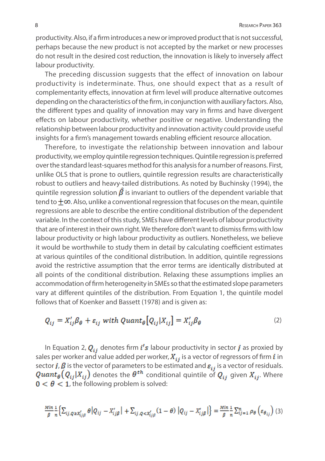productivity. Also, if a firm introduces a new or improved product that is not successful, perhaps because the new product is not accepted by the market or new processes do not result in the desired cost reduction, the innovation is likely to inversely affect labour productivity.

The preceding discussion suggests that the effect of innovation on labour productivity is indeterminate. Thus, one should expect that as a result of complementarity effects, innovation at firm level will produce alternative outcomes depending on the characteristics of the firm, in conjunction with auxiliary factors. Also, the different types and quality of innovation may vary in firms and have divergent effects on labour productivity, whether positive or negative. Understanding the relationship between labour productivity and innovation activity could provide useful insights for a firm's management towards enabling efficient resource allocation.

Therefore, to investigate the relationship between innovation and labour productivity, we employ quintile regression techniques. Quintile regression is preferred over the standard least-squares method for this analysis for a number of reasons. First, unlike OLS that is prone to outliers, quintile regression results are characteristically robust to outliers and heavy-tailed distributions. As noted by Buchinsky (1994), the quintile regression solution  $\hat{\beta}$  is invariant to outliers of the dependent variable that tend to  $\pm \infty$ . Also, unlike a conventional regression that focuses on the mean, quintile regressions are able to describe the entire conditional distribution of the dependent variable. In the context of this study, SMEs have different levels of labour productivity that are of interest in their own right. We therefore don't want to dismiss firms with low labour productivity or high labour productivity as outliers. Nonetheless, we believe it would be worthwhile to study them in detail by calculating coefficient estimates at various quintiles of the conditional distribution. In addition, quintile regressions avoid the restrictive assumption that the error terms are identically distributed at all points of the conditional distribution. Relaxing these assumptions implies an accommodation of firm heterogeneity in SMEs so that the estimated slope parameters vary at different quintiles of the distribution. From Equation 1, the quintile model follows that of Koenker and Bassett (1978) and is given as:

$$
Q_{ij} = X'_{ij}\beta_{\theta} + \varepsilon_{ij} \text{ with } Quant_{\theta}[Q_{ij}|X_{ij}] = X'_{ij}\beta_{\theta} \tag{2}
$$

In Equation 2,  $Q_{ij}$  denotes firm  $i's$  labour productivity in sector  $j$  as proxied by sales per worker and value added per worker,  $X_{ij}$  is a vector of regressors of firm *i* in sector j,  $\beta$  is the vector of parameters to be estimated and  $\varepsilon_{ij}$  is a vector of residuals.  $\mathit{Quant}_{\theta}(Q_{ij}|X_{ij})$  denotes the  $\theta^{th}$  conditional quintile of  $Q_{ij}$  given  $X_{ij}$ . Where  $0 < \theta < 1$ , the following problem is solved:

$$
\frac{Min}{\beta} \frac{1}{n} \Big\{ \sum_{ij, Q \geq X'_{ij\beta}} \theta \Big| Q_{ij} - X'_{ij\beta} \Big| + \sum_{ij, Q < X'_{ij\beta}} (1 - \theta) \Big| Q_{ij} - X'_{ij\beta} \Big| \Big\} = \frac{Min}{\beta} \frac{1}{n} \sum_{ij=1}^{n} \rho_{\theta} \left( \varepsilon_{\theta_{ij}} \right) (3)
$$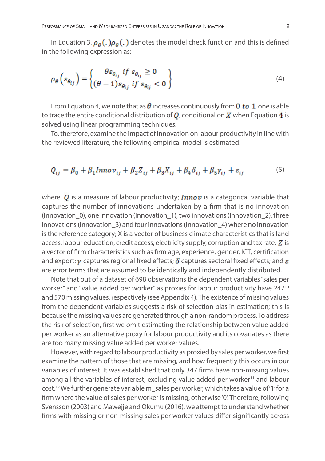In Equation 3,  $\rho_{\theta}$ (.) $\rho_{\theta}$ (.) denotes the model check function and this is defined in the following expression as:

$$
\rho_{\theta}\left(\varepsilon_{\theta_{ij}}\right) = \begin{cases} \theta \varepsilon_{\theta_{ij}} & \text{if } \varepsilon_{\theta_{ij}} \ge 0\\ (\theta - 1) \varepsilon_{\theta_{ij}} & \text{if } \varepsilon_{\theta_{ij}} < 0 \end{cases}
$$
\n(4)

From Equation 4, we note that as  $\theta$  increases continuously from 0 to 1, one is able to trace the entire conditional distribution of  $Q$ , conditional on  $X$  when Equation 4 is solved using linear programming techniques.

To, therefore, examine the impact of innovation on labour productivity in line with the reviewed literature, the following empirical model is estimated:

$$
Q_{ij} = \beta_0 + \beta_1 Innov_{ij} + \beta_2 Z_{ij} + \beta_3 X_{ij} + \beta_4 \delta_{ij} + \beta_5 \gamma_{ij} + \varepsilon_{ij}
$$
\n<sup>(5)</sup>

where,  $Q$  is a measure of labour productivity; **Innov** is a categorical variable that captures the number of innovations undertaken by a firm that is no innovation (Innovation\_0), one innovation (Innovation\_1), two innovations (Innovation\_2), three innovations (Innovation\_3) and four innovations (Innovation\_4) where no innovation is the reference category; X is a vector of business climate characteristics that is land access, labour education, credit access, electricity supply, corruption and tax rate;  $Z$  is a vector of firm characteristics such as firm age, experience, gender, ICT, certification and export;  $\gamma$  captures regional fixed effects;  $\delta$  captures sectoral fixed effects; and  $\varepsilon$ are error terms that are assumed to be identically and independently distributed.

Note that out of a dataset of 698 observations the dependent variables "sales per worker" and "value added per worker" as proxies for labour productivity have 247<sup>10</sup> and 570 missing values, respectively (see Appendix 4). The existence of missing values from the dependent variables suggests a risk of selection bias in estimation; this is because the missing values are generated through a non-random process. To address the risk of selection, first we omit estimating the relationship between value added per worker as an alternative proxy for labour productivity and its covariates as there are too many missing value added per worker values.

However, with regard to labour productivity as proxied by sales per worker, we first examine the pattern of those that are missing, and how frequently this occurs in our variables of interest. It was established that only 347 firms have non-missing values among all the variables of interest, excluding value added per worker<sup>11</sup> and labour cost.12 We further generate variable m\_sales per worker, which takes a value of '1' for a firm where the value of sales per worker is missing, otherwise '0'. Therefore, following Svensson (2003) and Mawejje and Okumu (2016), we attempt to understand whether firms with missing or non-missing sales per worker values differ significantly across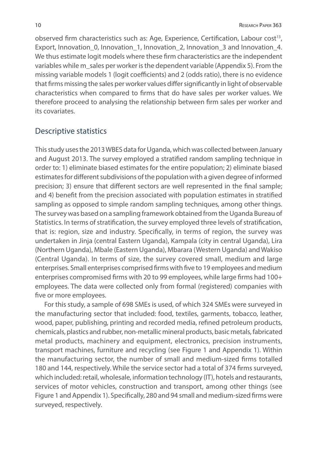observed firm characteristics such as: Age, Experience, Certification, Labour cost<sup>13</sup>, Export, Innovation 0, Innovation 1, Innovation 2, Innovation 3 and Innovation 4. We thus estimate logit models where these firm characteristics are the independent variables while m\_sales per worker is the dependent variable (Appendix 5). From the missing variable models 1 (logit coefficients) and 2 (odds ratio), there is no evidence that firms missing the sales per worker values differ significantly in light of observable characteristics when compared to firms that do have sales per worker values. We therefore proceed to analysing the relationship between firm sales per worker and its covariates.

### Descriptive statistics

This study uses the 2013 WBES data for Uganda, which was collected between January and August 2013. The survey employed a stratified random sampling technique in order to: 1) eliminate biased estimates for the entire population; 2) eliminate biased estimates for different subdivisions of the population with a given degree of informed precision; 3) ensure that different sectors are well represented in the final sample; and 4) benefit from the precision associated with population estimates in stratified sampling as opposed to simple random sampling techniques, among other things. The survey was based on a sampling framework obtained from the Uganda Bureau of Statistics. In terms of stratification, the survey employed three levels of stratification, that is: region, size and industry. Specifically, in terms of region, the survey was undertaken in Jinja (central Eastern Uganda), Kampala (city in central Uganda), Lira (Northern Uganda), Mbale (Eastern Uganda), Mbarara (Western Uganda) and Wakiso (Central Uganda). In terms of size, the survey covered small, medium and large enterprises. Small enterprises comprised firms with five to 19 employees and medium enterprises compromised firms with 20 to 99 employees, while large firms had 100+ employees. The data were collected only from formal (registered) companies with five or more employees.

For this study, a sample of 698 SMEs is used, of which 324 SMEs were surveyed in the manufacturing sector that included: food, textiles, garments, tobacco, leather, wood, paper, publishing, printing and recorded media, refined petroleum products, chemicals, plastics and rubber, non-metallic mineral products, basic metals, fabricated metal products, machinery and equipment, electronics, precision instruments, transport machines, furniture and recycling (see Figure 1 and Appendix 1). Within the manufacturing sector, the number of small and medium-sized firms totalled 180 and 144, respectively. While the service sector had a total of 374 firms surveyed, which included: retail, wholesale, information technology (IT), hotels and restaurants, services of motor vehicles, construction and transport, among other things (see Figure 1 and Appendix 1). Specifically, 280 and 94 small and medium-sized firms were surveyed, respectively.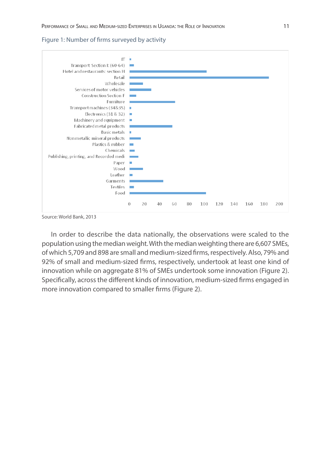#### Figure 1: Number of firms surveyed by activity



Source: World Bank, 2013

In order to describe the data nationally, the observations were scaled to the population using the median weight. With the median weighting there are 6,607 SMEs, of which 5,709 and 898 are small and medium-sized firms, respectively. Also, 79% and 92% of small and medium-sized firms, respectively, undertook at least one kind of innovation while on aggregate 81% of SMEs undertook some innovation (Figure 2). Specifically, across the different kinds of innovation, medium-sized firms engaged in more innovation compared to smaller firms (Figure 2).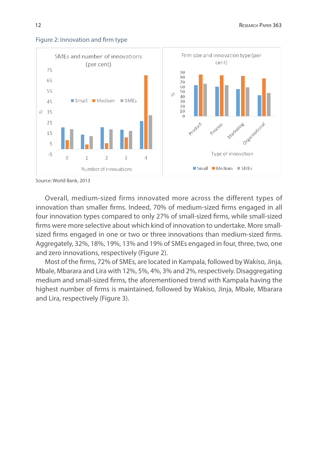

#### Figure 2: Innovation and firm type

Source: World Bank, 2013

Overall, medium-sized firms innovated more across the different types of innovation than smaller firms. Indeed, 70% of medium-sized firms engaged in all four innovation types compared to only 27% of small-sized firms, while small-sized firms were more selective about which kind of innovation to undertake. More smallsized firms engaged in one or two or three innovations than medium-sized firms. Aggregately, 32%, 18%, 19%, 13% and 19% of SMEs engaged in four, three, two, one and zero innovations, respectively (Figure 2).

Most of the firms, 72% of SMEs, are located in Kampala, followed by Wakiso, Jinja, Mbale, Mbarara and Lira with 12%, 5%, 4%, 3% and 2%, respectively. Disaggregating medium and small-sized firms, the aforementioned trend with Kampala having the highest number of firms is maintained, followed by Wakiso, Jinja, Mbale, Mbarara and Lira, respectively (Figure 3).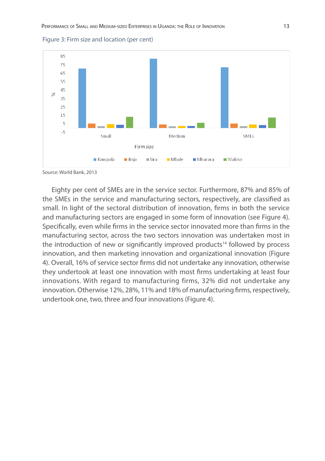

Figure 3: Firm size and location (per cent)

Source: World Bank, 2013

Eighty per cent of SMEs are in the service sector. Furthermore, 87% and 85% of the SMEs in the service and manufacturing sectors, respectively, are classified as small. In light of the sectoral distribution of innovation, firms in both the service and manufacturing sectors are engaged in some form of innovation (see Figure 4). Specifically, even while firms in the service sector innovated more than firms in the manufacturing sector, across the two sectors innovation was undertaken most in the introduction of new or significantly improved products<sup>14</sup> followed by process innovation, and then marketing innovation and organizational innovation (Figure 4). Overall, 16% of service sector firms did not undertake any innovation, otherwise they undertook at least one innovation with most firms undertaking at least four innovations. With regard to manufacturing firms, 32% did not undertake any innovation. Otherwise 12%, 28%, 11% and 18% of manufacturing firms, respectively, undertook one, two, three and four innovations (Figure 4).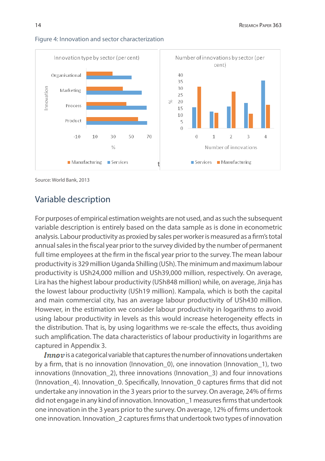

#### Figure 4: Innovation and sector characterization

Source: World Bank, 2013

### Variable description

For purposes of empirical estimation weights are not used, and as such the subsequent variable description is entirely based on the data sample as is done in econometric analysis. Labour productivity as proxied by sales per worker is measured as a firm's total annual sales in the fiscal year prior to the survey divided by the number of permanent full time employees at the firm in the fiscal year prior to the survey. The mean labour productivity is 329 million Uganda Shilling (USh). The minimum and maximum labour productivity is USh24,000 million and USh39,000 million, respectively. On average, Lira has the highest labour productivity (USh848 million) while, on average, Jinja has the lowest labour productivity (USh19 million). Kampala, which is both the capital and main commercial city, has an average labour productivity of USh430 million. However, in the estimation we consider labour productivity in logarithms to avoid using labour productivity in levels as this would increase heterogeneity effects in the distribution. That is, by using logarithms we re-scale the effects, thus avoiding such amplification. The data characteristics of labour productivity in logarithms are captured in Appendix 3.

**Innov** is a categorical variable that captures the number of innovations undertaken by a firm, that is no innovation (Innovation\_0), one innovation (Innovation\_1), two innovations (Innovation 2), three innovations (Innovation 3) and four innovations (Innovation\_4). Innovation\_0. Specifically, Innovation\_0 captures firms that did not undertake any innovation in the 3 years prior to the survey. On average, 24% of firms did not engage in any kind of innovation. Innovation\_1 measures firms that undertook one innovation in the 3 years prior to the survey. On average, 12% of firms undertook one innovation. Innovation\_2 captures firms that undertook two types of innovation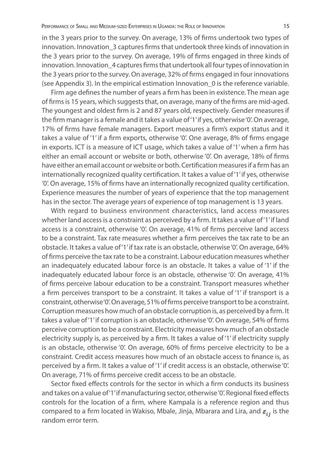in the 3 years prior to the survey. On average, 13% of firms undertook two types of innovation. Innovation 3 captures firms that undertook three kinds of innovation in the 3 years prior to the survey. On average, 19% of firms engaged in three kinds of innovation. Innovation\_4 captures firms that undertook all four types of innovation in the 3 years prior to the survey. On average, 32% of firms engaged in four innovations (see Appendix 3). In the empirical estimation Innovation\_0 is the reference variable.

Firm age defines the number of years a firm has been in existence. The mean age of firms is 15 years, which suggests that, on average, many of the firms are mid-aged. The youngest and oldest firm is 2 and 87 years old, respectively. Gender measures if the firm manager is a female and it takes a value of '1' if yes, otherwise '0'. On average, 17% of firms have female managers. Export measures a firm's export status and it takes a value of '1' if a firm exports, otherwise '0'. One average, 8% of firms engage in exports. ICT is a measure of ICT usage, which takes a value of '1' when a firm has either an email account or website or both, otherwise '0'. On average, 18% of firms have either an email account or website or both. Certification measures if a firm has an internationally recognized quality certification. It takes a value of '1' if yes, otherwise '0'. On average, 15% of firms have an internationally recognized quality certification. Experience measures the number of years of experience that the top management has in the sector. The average years of experience of top management is 13 years.

With regard to business environment characteristics, land access measures whether land access is a constraint as perceived by a firm. It takes a value of '1' if land access is a constraint, otherwise '0'. On average, 41% of firms perceive land access to be a constraint. Tax rate measures whether a firm perceives the tax rate to be an obstacle. It takes a value of '1' if tax rate is an obstacle, otherwise '0'. On average, 64% of firms perceive the tax rate to be a constraint. Labour education measures whether an inadequately educated labour force is an obstacle. It takes a value of '1' if the inadequately educated labour force is an obstacle, otherwise '0'. On average, 41% of firms perceive labour education to be a constraint. Transport measures whether a firm perceives transport to be a constraint. It takes a value of '1' if transport is a constraint, otherwise '0'. On average, 51% of firms perceive transport to be a constraint. Corruption measures how much of an obstacle corruption is, as perceived by a firm. It takes a value of '1' if corruption is an obstacle, otherwise '0'. On average, 54% of firms perceive corruption to be a constraint. Electricity measures how much of an obstacle electricity supply is, as perceived by a firm. It takes a value of '1' if electricity supply is an obstacle, otherwise '0'. On average, 60% of firms perceive electricity to be a constraint. Credit access measures how much of an obstacle access to finance is, as perceived by a firm. It takes a value of '1' if credit access is an obstacle, otherwise '0'. On average, 71% of firms perceive credit access to be an obstacle.

Sector fixed effects controls for the sector in which a firm conducts its business and takes on a value of '1' if manufacturing sector, otherwise '0'. Regional fixed effects controls for the location of a firm, where Kampala is a reference region and thus compared to a firm located in Wakiso, Mbale, Jinja, Mbarara and Lira, and  $\varepsilon_{i,j}$  is the random error term.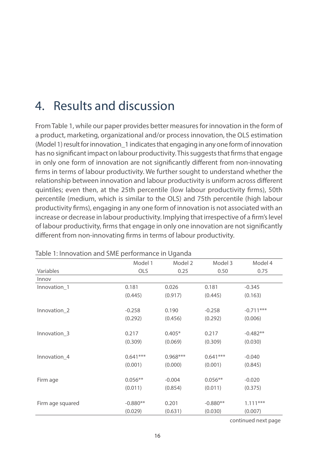## 4. Results and discussion

From Table 1, while our paper provides better measures for innovation in the form of a product, marketing, organizational and/or process innovation, the OLS estimation (Model 1) result for innovation\_1 indicates that engaging in any one form of innovation has no significant impact on labour productivity. This suggests that firms that engage in only one form of innovation are not significantly different from non-innovating firms in terms of labour productivity. We further sought to understand whether the relationship between innovation and labour productivity is uniform across different quintiles; even then, at the 25th percentile (low labour productivity firms), 50th percentile (medium, which is similar to the OLS) and 75th percentile (high labour productivity firms), engaging in any one form of innovation is not associated with an increase or decrease in labour productivity. Implying that irrespective of a firm's level of labour productivity, firms that engage in only one innovation are not significantly different from non-innovating firms in terms of labour productivity.

|                  | Model 1    | Model 2    | Model 3    | Model 4     |
|------------------|------------|------------|------------|-------------|
| Variables        | <b>OLS</b> | 0.25       | 0.50       | 0.75        |
| Innov            |            |            |            |             |
| Innovation_1     | 0.181      | 0.026      | 0.181      | $-0.345$    |
|                  | (0.445)    | (0.917)    | (0.445)    | (0.163)     |
| Innovation 2     | $-0.258$   | 0.190      | $-0.258$   | $-0.711***$ |
|                  |            |            |            |             |
|                  | (0.292)    | (0.456)    | (0.292)    | (0.006)     |
| Innovation 3     | 0.217      | $0.405*$   | 0.217      | $-0.482**$  |
|                  | (0.309)    | (0.069)    | (0.309)    | (0.030)     |
| Innovation_4     | $0.641***$ | $0.968***$ | $0.641***$ | $-0.040$    |
|                  | (0.001)    | (0.000)    | (0.001)    | (0.845)     |
|                  |            |            |            |             |
| Firm age         | $0.056**$  | $-0.004$   | $0.056**$  | $-0.020$    |
|                  | (0.011)    | (0.854)    | (0.011)    | (0.375)     |
|                  |            |            |            |             |
| Firm age squared | $-0.880**$ | 0.201      | $-0.880**$ | $1.111***$  |
|                  | (0.029)    | (0.631)    | (0.030)    | (0.007)     |

Table 1: Innovation and SME performance in Uganda

continued next page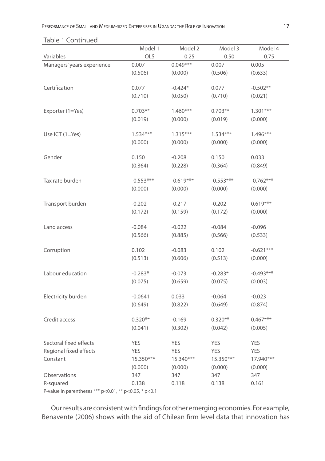#### Table 1 Continued

|                            | Model 1     | Model 2     | Model 3     | Model 4     |
|----------------------------|-------------|-------------|-------------|-------------|
| Variables                  | OLS         | 0.25        | 0.50        | 0.75        |
| Managers' years experience | 0.007       | $0.049***$  | 0.007       | 0.005       |
|                            | (0.506)     | (0.000)     | (0.506)     | (0.633)     |
|                            |             |             |             |             |
| Certification              | 0.077       | $-0.424*$   | 0.077       | $-0.502**$  |
|                            | (0.710)     | (0.050)     | (0.710)     | (0.021)     |
| Exporter (1=Yes)           | $0.703**$   | $1.460***$  | $0.703**$   | $1.301***$  |
|                            | (0.019)     | (0.000)     | (0.019)     | (0.000)     |
|                            |             |             |             |             |
| Use ICT (1=Yes)            | $1.534***$  | $1.315***$  | $1.534***$  | $1.496***$  |
|                            | (0.000)     | (0.000)     | (0.000)     | (0.000)     |
|                            |             |             |             |             |
| Gender                     | 0.150       | $-0.208$    | 0.150       | 0.033       |
|                            | (0.364)     | (0.228)     | (0.364)     | (0.849)     |
| Tax rate burden            | $-0.553***$ | $-0.619***$ | $-0.553***$ | $-0.762***$ |
|                            | (0.000)     | (0.000)     | (0.000)     | (0.000)     |
|                            |             |             |             |             |
| Transport burden           | $-0.202$    | $-0.217$    | $-0.202$    | $0.619***$  |
|                            | (0.172)     | (0.159)     | (0.172)     | (0.000)     |
|                            |             |             |             |             |
| Land access                | $-0.084$    | $-0.022$    | $-0.084$    | $-0.096$    |
|                            | (0.566)     | (0.885)     | (0.566)     | (0.533)     |
| Corruption                 | 0.102       | $-0.083$    | 0.102       | $-0.621***$ |
|                            | (0.513)     | (0.606)     | (0.513)     | (0.000)     |
|                            |             |             |             |             |
| Labour education           | $-0.283*$   | $-0.073$    | $-0.283*$   | $-0.493***$ |
|                            | (0.075)     | (0.659)     | (0.075)     | (0.003)     |
|                            |             |             |             |             |
| Electricity burden         | $-0.0641$   | 0.033       | $-0.064$    | $-0.023$    |
|                            | (0.649)     | (0.822)     | (0.649)     | (0.874)     |
| Credit access              | $0.320**$   | $-0.169$    | $0.320**$   | $0.467***$  |
|                            | (0.041)     | (0.302)     | (0.042)     | (0.005)     |
|                            |             |             |             |             |
| Sectoral fixed effects     | YES         | YES         | <b>YES</b>  | <b>YES</b>  |
| Regional fixed effects     | <b>YES</b>  | <b>YES</b>  | <b>YES</b>  | <b>YES</b>  |
| Constant                   | 15.350***   | 15.340***   | 15.350***   | 17.940***   |
|                            | (0.000)     | (0.000)     | (0.000)     | (0.000)     |
| Observations               | 347         | 347         | 347         | 347         |
| R-squared                  | 0.138       | 0.118       | 0.138       | 0.161       |

P-value in parentheses \*\*\*  $p < 0.01$ , \*\*  $p < 0.05$ , \*  $p < 0.1$ 

Our results are consistent with findings for other emerging economies. For example, Benavente (2006) shows with the aid of Chilean firm level data that innovation has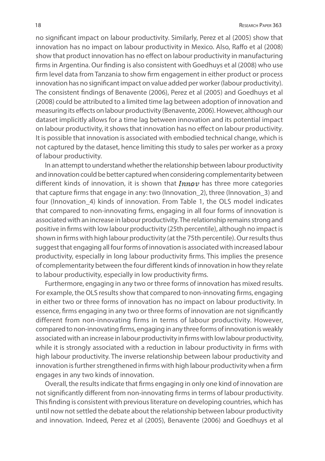no significant impact on labour productivity. Similarly, Perez et al (2005) show that innovation has no impact on labour productivity in Mexico. Also, Raffo et al (2008) show that product innovation has no effect on labour productivity in manufacturing firms in Argentina. Our finding is also consistent with Goedhuys et al (2008) who use firm level data from Tanzania to show firm engagement in either product or process innovation has no significant impact on value added per worker (labour productivity). The consistent findings of Benavente (2006), Perez et al (2005) and Goedhuys et al (2008) could be attributed to a limited time lag between adoption of innovation and measuring its effects on labour productivity (Benavente, 2006). However, although our dataset implicitly allows for a time lag between innovation and its potential impact on labour productivity, it shows that innovation has no effect on labour productivity. It is possible that innovation is associated with embodied technical change, which is not captured by the dataset, hence limiting this study to sales per worker as a proxy of labour productivity.

In an attempt to understand whether the relationship between labour productivity and innovation could be better captured when considering complementarity between different kinds of innovation, it is shown that  $Innow$  has three more categories that capture firms that engage in any: two (Innovation\_2), three (Innovation\_3) and four (Innovation\_4) kinds of innovation. From Table 1, the OLS model indicates that compared to non-innovating firms, engaging in all four forms of innovation is associated with an increase in labour productivity. The relationship remains strong and positive in firms with low labour productivity (25th percentile), although no impact is shown in firms with high labour productivity (at the 75th percentile). Our results thus suggest that engaging all four forms of innovation is associated with increased labour productivity, especially in long labour productivity firms. This implies the presence of complementarity between the four different kinds of innovation in how they relate to labour productivity, especially in low productivity firms.

Furthermore, engaging in any two or three forms of innovation has mixed results. For example, the OLS results show that compared to non-innovating firms, engaging in either two or three forms of innovation has no impact on labour productivity. In essence, firms engaging in any two or three forms of innovation are not significantly different from non-innovating firms in terms of labour productivity. However, compared to non-innovating firms, engaging in any three forms of innovation is weakly associated with an increase in labour productivity in firms with low labour productivity, while it is strongly associated with a reduction in labour productivity in firms with high labour productivity. The inverse relationship between labour productivity and innovation is further strengthened in firms with high labour productivity when a firm engages in any two kinds of innovation.

Overall, the results indicate that firms engaging in only one kind of innovation are not significantly different from non-innovating firms in terms of labour productivity. This finding is consistent with previous literature on developing countries, which has until now not settled the debate about the relationship between labour productivity and innovation. Indeed, Perez et al (2005), Benavente (2006) and Goedhuys et al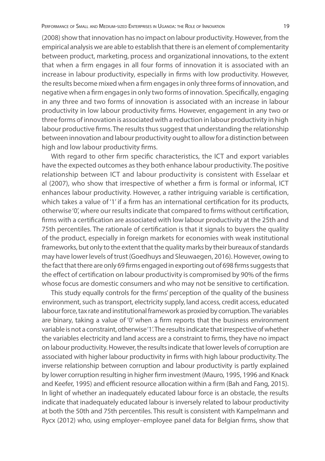(2008) show that innovation has no impact on labour productivity. However, from the empirical analysis we are able to establish that there is an element of complementarity between product, marketing, process and organizational innovations, to the extent that when a firm engages in all four forms of innovation it is associated with an increase in labour productivity, especially in firms with low productivity. However, the results become mixed when a firm engages in only three forms of innovation, and negative when a firm engages in only two forms of innovation. Specifically, engaging in any three and two forms of innovation is associated with an increase in labour productivity in low labour productivity firms. However, engagement in any two or three forms of innovation is associated with a reduction in labour productivity in high labour productive firms. The results thus suggest that understanding the relationship between innovation and labour productivity ought to allow for a distinction between high and low labour productivity firms.

With regard to other firm specific characteristics, the ICT and export variables have the expected outcomes as they both enhance labour productivity. The positive relationship between ICT and labour productivity is consistent with Esselaar et al (2007), who show that irrespective of whether a firm is formal or informal, ICT enhances labour productivity. However, a rather intriguing variable is certification, which takes a value of '1' if a firm has an international certification for its products, otherwise '0', where our results indicate that compared to firms without certification, firms with a certification are associated with low labour productivity at the 25th and 75th percentiles. The rationale of certification is that it signals to buyers the quality of the product, especially in foreign markets for economies with weak institutional frameworks, but only to the extent that the quality marks by their bureaux of standards may have lower levels of trust (Goedhuys and Sleuwaegen, 2016). However, owing to the fact that there are only 69 firms engaged in exporting out of 698 firms suggests that the effect of certification on labour productivity is compromised by 90% of the firms whose focus are domestic consumers and who may not be sensitive to certification.

This study equally controls for the firms' perception of the quality of the business environment, such as transport, electricity supply, land access, credit access, educated labour force, tax rate and institutional framework as proxied by corruption. The variables are binary, taking a value of '0' when a firm reports that the business environment variable is not a constraint, otherwise '1'. The results indicate that irrespective of whether the variables electricity and land access are a constraint to firms, they have no impact on labour productivity. However, the results indicate that lower levels of corruption are associated with higher labour productivity in firms with high labour productivity. The inverse relationship between corruption and labour productivity is partly explained by lower corruption resulting in higher firm investment (Mauro, 1995, 1996 and Knack and Keefer, 1995) and efficient resource allocation within a firm (Bah and Fang, 2015). In light of whether an inadequately educated labour force is an obstacle, the results indicate that inadequately educated labour is inversely related to labour productivity at both the 50th and 75th percentiles. This result is consistent with Kampelmann and Rycx (2012) who, using employer–employee panel data for Belgian firms, show that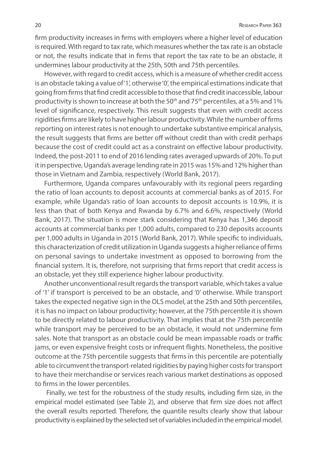firm productivity increases in firms with employers where a higher level of education is required. With regard to tax rate, which measures whether the tax rate is an obstacle or not, the results indicate that in firms that report the tax rate to be an obstacle, it undermines labour productivity at the 25th, 50th and 75th percentiles.

However, with regard to credit access, which is a measure of whether credit access is an obstacle taking a value of '1', otherwise '0', the empirical estimations indicate that going from firms that find credit accessible to those that find credit inaccessible, labour productivity is shown to increase at both the 50<sup>th</sup> and 75<sup>th</sup> percentiles, at a 5% and 1% level of significance, respectively. This result suggests that even with credit access rigidities firms are likely to have higher labour productivity. While the number of firms reporting on interest rates is not enough to undertake substantive empirical analysis, the result suggests that firms are better off without credit than with credit perhaps because the cost of credit could act as a constraint on effective labour productivity. Indeed, the post-2011 to end of 2016 lending rates averaged upwards of 20%. To put it in perspective, Uganda's average lending rate in 2015 was 15% and 12% higher than those in Vietnam and Zambia, respectively (World Bank, 2017).

Furthermore, Uganda compares unfavourably with its regional peers regarding the ratio of loan accounts to deposit accounts at commercial banks as of 2015. For example, while Uganda's ratio of loan accounts to deposit accounts is 10.9%, it is less than that of both Kenya and Rwanda by 6.7% and 6.6%, respectively (World Bank, 2017). The situation is more stark considering that Kenya has 1,346 deposit accounts at commercial banks per 1,000 adults, compared to 230 deposits accounts per 1,000 adults in Uganda in 2015 (World Bank, 2017). While specific to individuals, this characterization of credit utilization in Uganda suggests a higher reliance of firms on personal savings to undertake investment as opposed to borrowing from the financial system. It is, therefore, not surprising that firms report that credit access is an obstacle, yet they still experience higher labour productivity.

Another unconventional result regards the transport variable, which takes a value of '1' if transport is perceived to be an obstacle, and '0' otherwise. While transport takes the expected negative sign in the OLS model, at the 25th and 50th percentiles, it is has no impact on labour productivity; however, at the 75th percentile it is shown to be directly related to labour productivity. That implies that at the 75th percentile while transport may be perceived to be an obstacle, it would not undermine firm sales. Note that transport as an obstacle could be mean impassable roads or traffic jams, or even expensive freight costs or infrequent flights. Nonetheless, the positive outcome at the 75th percentile suggests that firms in this percentile are potentially able to circumvent the transport-related rigidities by paying higher costs for transport to have their merchandise or services reach various market destinations as opposed to firms in the lower percentiles.

 Finally, we test for the robustness of the study results, including firm size, in the empirical model estimated (see Table 2), and observe that firm size does not affect the overall results reported. Therefore, the quantile results clearly show that labour productivity is explained by the selected set of variables included in the empirical model.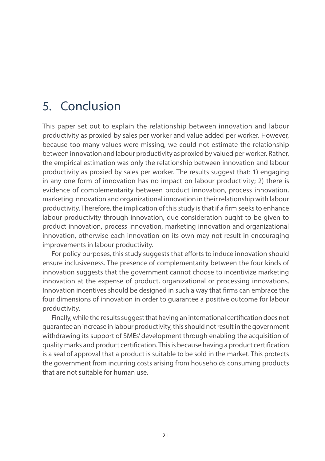## 5. Conclusion

This paper set out to explain the relationship between innovation and labour productivity as proxied by sales per worker and value added per worker. However, because too many values were missing, we could not estimate the relationship between innovation and labour productivity as proxied by valued per worker. Rather, the empirical estimation was only the relationship between innovation and labour productivity as proxied by sales per worker. The results suggest that: 1) engaging in any one form of innovation has no impact on labour productivity; 2) there is evidence of complementarity between product innovation, process innovation, marketing innovation and organizational innovation in their relationship with labour productivity. Therefore, the implication of this study is that if a firm seeks to enhance labour productivity through innovation, due consideration ought to be given to product innovation, process innovation, marketing innovation and organizational innovation, otherwise each innovation on its own may not result in encouraging improvements in labour productivity.

For policy purposes, this study suggests that efforts to induce innovation should ensure inclusiveness. The presence of complementarity between the four kinds of innovation suggests that the government cannot choose to incentivize marketing innovation at the expense of product, organizational or processing innovations. Innovation incentives should be designed in such a way that firms can embrace the four dimensions of innovation in order to guarantee a positive outcome for labour productivity.

Finally, while the results suggest that having an international certification does not guarantee an increase in labour productivity, this should not result in the government withdrawing its support of SMEs' development through enabling the acquisition of quality marks and product certification. This is because having a product certification is a seal of approval that a product is suitable to be sold in the market. This protects the government from incurring costs arising from households consuming products that are not suitable for human use.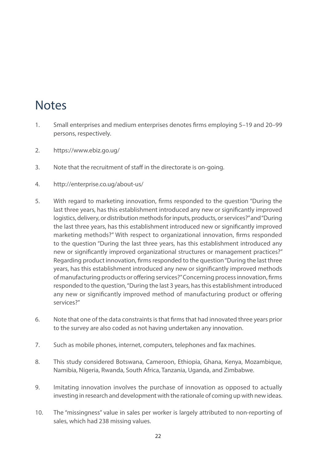## **Notes**

- 1. Small enterprises and medium enterprises denotes firms employing 5–19 and 20–99 persons, respectively.
- 2. https://www.ebiz.go.ug/
- 3. Note that the recruitment of staff in the directorate is on-going.
- 4. http://enterprise.co.ug/about-us/
- 5. With regard to marketing innovation, firms responded to the question "During the last three years, has this establishment introduced any new or significantly improved logistics, delivery, or distribution methods for inputs, products, or services?" and "During the last three years, has this establishment introduced new or significantly improved marketing methods?" With respect to organizational innovation, firms responded to the question "During the last three years, has this establishment introduced any new or significantly improved organizational structures or management practices?" Regarding product innovation, firms responded to the question "During the last three years, has this establishment introduced any new or significantly improved methods of manufacturing products or offering services?" Concerning process innovation, firms responded to the question, "During the last 3 years, has this establishment introduced any new or significantly improved method of manufacturing product or offering services?"
- 6. Note that one of the data constraints is that firms that had innovated three years prior to the survey are also coded as not having undertaken any innovation.
- 7. Such as mobile phones, internet, computers, telephones and fax machines.
- 8. This study considered Botswana, Cameroon, Ethiopia, Ghana, Kenya, Mozambique, Namibia, Nigeria, Rwanda, South Africa, Tanzania, Uganda, and Zimbabwe.
- 9. Imitating innovation involves the purchase of innovation as opposed to actually investing in research and development with the rationale of coming up with new ideas.
- 10. The "missingness" value in sales per worker is largely attributed to non-reporting of sales, which had 238 missing values.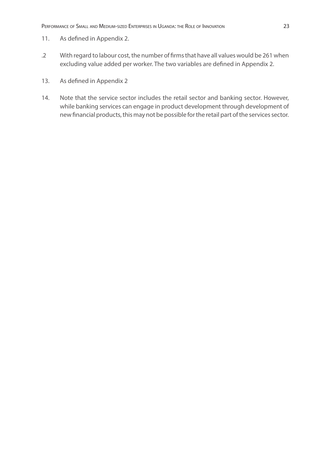- 11. As defined in Appendix 2.
- .2 With regard to labour cost, the number of firms that have all values would be 261 when excluding value added per worker. The two variables are defined in Appendix 2.
- 13. As defined in Appendix 2
- 14. Note that the service sector includes the retail sector and banking sector. However, while banking services can engage in product development through development of new financial products, this may not be possible for the retail part of the services sector.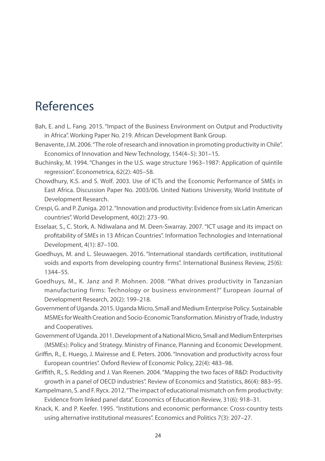## References

- Bah, E. and L. Fang. 2015. "Impact of the Business Environment on Output and Productivity in Africa". Working Paper No. 219. African Development Bank Group.
- Benavente, J.M. 2006. "The role of research and innovation in promoting productivity in Chile". Economics of Innovation and New Technology, 154(4–5): 301–15.
- Buchinsky, M. 1994. "Changes in the U.S. wage structure 1963–1987: Application of quintile regression". Econometrica, 62(2): 405–58.
- Chowdhury, K.S. and S. Wolf. 2003. Use of ICTs and the Economic Performance of SMEs in East Africa. Discussion Paper No. 2003/06. United Nations University, World Institute of Development Research.
- Crespi, G. and P. Zuniga. 2012. "Innovation and productivity: Evidence from six Latin American countries". World Development, 40(2): 273–90.
- Esselaar, S., C. Stork, A. Ndiwalana and M. Deen-Swarray. 2007. "ICT usage and its impact on profitability of SMEs in 13 African Countries". Information Technologies and International Development, 4(1): 87–100.
- Goedhuys, M. and L. Sleuwaegen. 2016. "International standards certification, institutional voids and exports from developing country firms". International Business Review, 25(6): 1344–55.
- Goedhuys, M., K. Janz and P. Mohnen. 2008. "What drives productivity in Tanzanian manufacturing firms: Technology or business environment?" European Journal of Development Research, 20(2): 199–218.
- Government of Uganda. 2015. Uganda Micro, Small and Medium Enterprise Policy. Sustainable MSMEs for Wealth Creation and Socio-Economic Transformation. Ministry of Trade, Industry and Cooperatives.
- Government of Uganda. 2011. Development of a National Micro, Small and Medium Enterprises (MSMEs): Policy and Strategy. Ministry of Finance, Planning and Economic Development.
- Griffin, R., E. Huego, J. Mairesse and E. Peters. 2006. "Innovation and productivity across four European countries". Oxford Review of Economic Policy, 22(4): 483–98.
- Griffith, R., S. Redding and J. Van Reenen. 2004. "Mapping the two faces of R&D: Productivity growth in a panel of OECD industries". Review of Economics and Statistics, 86(4): 883–95.
- Kampelmann, S. and F. Rycx. 2012. "The impact of educational mismatch on firm productivity: Evidence from linked panel data". Economics of Education Review, 31(6): 918–31.
- Knack, K. and P. Keefer. 1995. "Institutions and economic performance: Cross-country tests using alternative institutional measures". Economics and Politics 7(3): 207–27.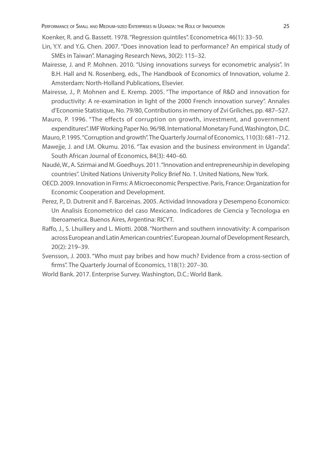Koenker, R. and G. Bassett. 1978. "Regression quintiles". Econometrica 46(1): 33–50.

- Lin, Y.Y. and Y.G. Chen. 2007. "Does innovation lead to performance? An empirical study of SMEs in Taiwan". Managing Research News, 30(2): 115–32.
- Mairesse, J. and P. Mohnen. 2010. "Using innovations surveys for econometric analysis". In B.H. Hall and N. Rosenberg, eds., The Handbook of Economics of Innovation, volume 2. Amsterdam: North-Holland Publications, Elsevier.
- Mairesse, J., P. Mohnen and E. Kremp. 2005. "The importance of R&D and innovation for productivity: A re-examination in light of the 2000 French innovation survey". Annales d'Economie Statistique, No. 79/80, Contributions in memory of Zvi Griliches, pp. 487–527.
- Mauro, P. 1996. "The effects of corruption on growth, investment, and government expenditures". IMF Working Paper No. 96/98. International Monetary Fund, Washington, D.C.
- Mauro, P. 1995. "Corruption and growth". The Quarterly Journal of Economics, 110(3): 681–712.
- Mawejje, J. and I.M. Okumu. 2016. "Tax evasion and the business environment in Uganda". South African Journal of Economics, 84(3): 440–60.
- Naudé, W., A. Szirmai and M. Goedhuys. 2011. "Innovation and entrepreneurship in developing countries". United Nations University Policy Brief No. 1. United Nations, New York.
- OECD. 2009. Innovation in Firms: A Microeconomic Perspective. Paris, France: Organization for Economic Cooperation and Development.
- Perez, P., D. Dutrenit and F. Barceinas. 2005. Actividad Innovadora y Desempeno Economico: Un Analisis Econometrico del caso Mexicano. Indicadores de Ciencia y Tecnologıa en Iberoamerica. Buenos Aires, Argentina: RICYT.
- Raffo, J., S. Lhuillery and L. Miotti. 2008. "Northern and southern innovativity: A comparison across European and Latin American countries". European Journal of Development Research, 20(2): 219–39.
- Svensson, J. 2003. "Who must pay bribes and how much? Evidence from a cross-section of firms". The Quarterly Journal of Economics, 118(1): 207–30.
- World Bank. 2017. Enterprise Survey. Washington, D.C.: World Bank.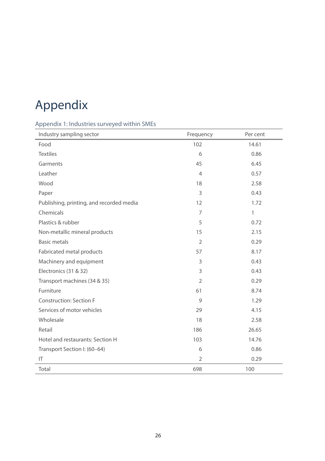# Appendix

### Appendix 1: Industries surveyed within SMEs

| Industry sampling sector                 | Frequency      | Per cent     |
|------------------------------------------|----------------|--------------|
| Food                                     | 102            | 14.61        |
| <b>Textiles</b>                          | 6              | 0.86         |
| Garments                                 | 45             | 6.45         |
| Leather                                  | $\overline{4}$ | 0.57         |
| Wood                                     | 18             | 2.58         |
| Paper                                    | 3              | 0.43         |
| Publishing, printing, and recorded media | 12             | 1.72         |
| Chemicals                                | $\overline{7}$ | $\mathbf{1}$ |
| Plastics & rubber                        | 5              | 0.72         |
| Non-metallic mineral products            | 15             | 2.15         |
| <b>Basic metals</b>                      | $\overline{2}$ | 0.29         |
| Fabricated metal products                | 57             | 8.17         |
| Machinery and equipment                  | 3              | 0.43         |
| Electronics (31 & 32)                    | 3              | 0.43         |
| Transport machines (34 & 35)             | $\overline{2}$ | 0.29         |
| Furniture                                | 61             | 8.74         |
| <b>Construction: Section F</b>           | 9              | 1.29         |
| Services of motor vehicles               | 29             | 4.15         |
| Wholesale                                | 18             | 2.58         |
| Retail                                   | 186            | 26.65        |
| Hotel and restaurants: Section H         | 103            | 14.76        |
| Transport Section I: (60-64)             | 6              | 0.86         |
| IT                                       | $\overline{2}$ | 0.29         |
| Total                                    | 698            | 100          |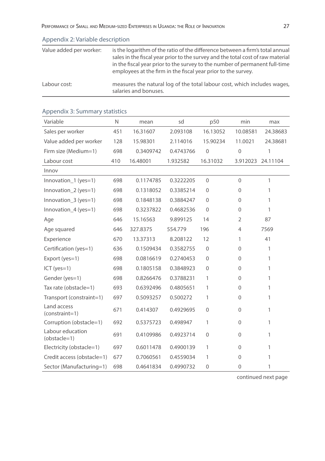| Value added per worker: | is the logarithm of the ratio of the difference between a firm's total annual<br>sales in the fiscal year prior to the survey and the total cost of raw material<br>in the fiscal year prior to the survey to the number of permanent full-time<br>employees at the firm in the fiscal year prior to the survey. |
|-------------------------|------------------------------------------------------------------------------------------------------------------------------------------------------------------------------------------------------------------------------------------------------------------------------------------------------------------|
| Labour cost:            | measures the natural log of the total labour cost, which includes wages,<br>salaries and bonuses.                                                                                                                                                                                                                |

| Variable                         | N   | mean      | sd        | p50          | min            | max               |
|----------------------------------|-----|-----------|-----------|--------------|----------------|-------------------|
| Sales per worker                 | 451 | 16.31607  | 2.093108  | 16.13052     | 10.08581       | 24.38683          |
| Value added per worker           | 128 | 15.98301  | 2.114016  | 15.90234     | 11.0021        | 24.38681          |
| Firm size (Medium=1)             | 698 | 0.3409742 | 0.4743766 | $\mathbf{0}$ | $\mathbf{0}$   | 1                 |
| Labour cost                      | 410 | 16.48001  | 1.932582  | 16.31032     |                | 3.912023 24.11104 |
| Innov                            |     |           |           |              |                |                   |
| Innovation_1 (yes=1)             | 698 | 0.1174785 | 0.3222205 | $\Omega$     | $\Omega$       | 1                 |
| Innovation_2 (yes=1)             | 698 | 0.1318052 | 0.3385214 | $\mathbf 0$  | $\Omega$       | 1                 |
| Innovation_3 (yes=1)             | 698 | 0.1848138 | 0.3884247 | $\mathbf 0$  | $\Omega$       | 1                 |
| Innovation $4$ (yes=1)           | 698 | 0.3237822 | 0.4682536 | $\Omega$     | $\Omega$       | 1                 |
| Age                              | 646 | 15.16563  | 9.899125  | 14           | $\overline{2}$ | 87                |
| Age squared                      | 646 | 327.8375  | 554.779   | 196          | $\overline{4}$ | 7569              |
| Experience                       | 670 | 13.37313  | 8.208122  | 12           | 1              | 41                |
| Certification (yes=1)            | 636 | 0.1509434 | 0.3582755 | $\mathbf{0}$ | $\Omega$       | 1                 |
| Export (yes=1)                   | 698 | 0.0816619 | 0.2740453 | $\mathbf{0}$ | $\mathbf{0}$   | 1                 |
| $ICT (yes=1)$                    | 698 | 0.1805158 | 0.3848923 | $\mathbf{0}$ | $\mathbf{0}$   | 1                 |
| Gender (yes=1)                   | 698 | 0.8266476 | 0.3788231 | 1            | $\Omega$       | 1                 |
| Tax rate (obstacle=1)            | 693 | 0.6392496 | 0.4805651 | 1            | $\mathbf{0}$   | 1                 |
| Transport (constraint=1)         | 697 | 0.5093257 | 0.500272  | 1            | $\mathbf{0}$   | 1                 |
| Land access<br>$(constraint=1)$  | 671 | 0.414307  | 0.4929695 | $\mathbf{0}$ | $\Omega$       | 1                 |
| Corruption (obstacle=1)          | 692 | 0.5375723 | 0.498947  | 1            | $\Omega$       | 1                 |
| Labour education<br>(obstacle=1) | 691 | 0.4109986 | 0.4923714 | $\mathbf{0}$ | $\Omega$       | 1                 |
| Electricity (obstacle=1)         | 697 | 0.6011478 | 0.4900139 | 1            | $\Omega$       | 1                 |
| Credit access (obstacle=1)       | 677 | 0.7060561 | 0.4559034 | 1            | $\Omega$       | 1                 |
| Sector (Manufacturing=1)         | 698 | 0.4641834 | 0.4990732 | $\mathbf{0}$ | $\overline{0}$ | 1                 |

### Appendix 3: Summary statistics

Appendix 2: Variable description

continued next page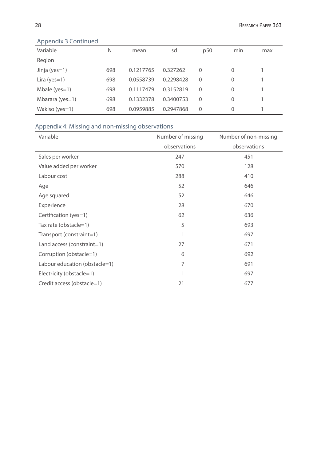| Variable          | N   | mean      | sd        | p50      | min      | max |  |
|-------------------|-----|-----------|-----------|----------|----------|-----|--|
| Region            |     |           |           |          |          |     |  |
| Jinja (yes=1)     | 698 | 0.1217765 | 0.327262  | $\Omega$ | 0        |     |  |
| Lira ( $yes=1$ )  | 698 | 0.0558739 | 0.2298428 | $\Omega$ | 0        |     |  |
| Mbale ( $yes=1$ ) | 698 | 0.1117479 | 0.3152819 | $\Omega$ | 0        |     |  |
| Mbarara (yes=1)   | 698 | 0.1332378 | 0.3400753 | $\Omega$ | $\Omega$ |     |  |
| Wakiso (yes=1)    | 698 | 0.0959885 | 0.2947868 | $\Omega$ | $\Omega$ |     |  |

### Appendix 3 Continued

### Appendix 4: Missing and non-missing observations

| Variable                      | Number of missing | Number of non-missing |
|-------------------------------|-------------------|-----------------------|
|                               | observations      | observations          |
| Sales per worker              | 247               | 451                   |
| Value added per worker        | 570               | 128                   |
| Labour cost                   | 288               | 410                   |
| Age                           | 52                | 646                   |
| Age squared                   | 52                | 646                   |
| Experience                    | 28                | 670                   |
| Certification (yes=1)         | 62                | 636                   |
| Tax rate (obstacle=1)         | 5                 | 693                   |
| Transport (constraint=1)      | 1                 | 697                   |
| Land access (constraint=1)    | 27                | 671                   |
| Corruption (obstacle=1)       | 6                 | 692                   |
| Labour education (obstacle=1) | 7                 | 691                   |
| Electricity (obstacle=1)      | 1                 | 697                   |
| Credit access (obstacle=1)    | 21                | 677                   |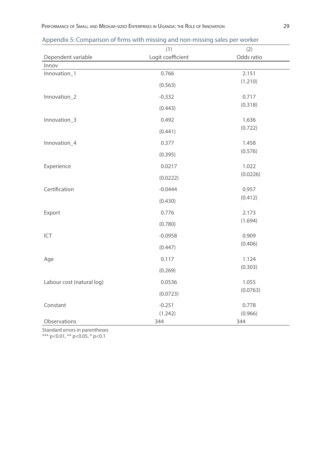|                           | (1)               | (2)        |
|---------------------------|-------------------|------------|
| Dependent variable        | Logit coefficient | Odds ratio |
| Innov                     |                   |            |
| Innovation_1              | 0.766             | 2.151      |
|                           | (0.563)           | (1.210)    |
| Innovation_2              | $-0.332$          | 0.717      |
|                           | (0.443)           | (0.318)    |
| Innovation_3              | 0.492             | 1.636      |
|                           | (0.441)           | (0.722)    |
| Innovation_4              | 0.377             | 1.458      |
|                           | (0.395)           | (0.576)    |
| Experience                | 0.0217            | 1.022      |
|                           | (0.0222)          | (0.0226)   |
| Certification             | $-0.0444$         | 0.957      |
|                           | (0.430)           | (0.412)    |
| Export                    | 0.776             | 2.173      |
|                           | (0.780)           | (1.694)    |
| ICT                       | $-0.0958$         | 0.909      |
|                           | (0.447)           | (0.406)    |
| Age                       | 0.117             | 1.124      |
|                           | (0.269)           | (0.303)    |
| Labour cost (natural log) | 0.0536            | 1.055      |
|                           | (0.0723)          | (0.0763)   |
| Constant                  | $-0.251$          | 0.778      |
|                           | (1.242)           | (0.966)    |
| Observations              | 344               | 344        |

Appendix 5: Comparison of firms with missing and non-missing sales per worker

Standard errors in parentheses

\*\*\* p<0.01, \*\* p<0.05, \* p<0.1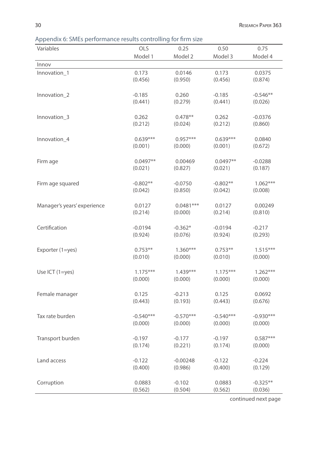Appendix 6: SMEs performance results controlling for firm size

| Variables                   | OLS                   | 0.25                 | 0.50                  | 0.75                  |
|-----------------------------|-----------------------|----------------------|-----------------------|-----------------------|
|                             | Model 1               | Model 2              | Model 3               | Model 4               |
| Innov                       |                       |                      |                       |                       |
| Innovation_1                | 0.173                 | 0.0146               | 0.173                 | 0.0375                |
|                             | (0.456)               | (0.950)              | (0.456)               | (0.874)               |
| Innovation_2                | $-0.185$              | 0.260                | $-0.185$              | $-0.546**$            |
|                             | (0.441)               | (0.279)              | (0.441)               | (0.026)               |
|                             |                       |                      |                       |                       |
| Innovation_3                | 0.262                 | $0.478**$            | 0.262                 | $-0.0376$             |
|                             | (0.212)               | (0.024)              | (0.212)               | (0.860)               |
| Innovation_4                | $0.639***$            | $0.957***$           | $0.639***$            | 0.0840                |
|                             | (0.001)               | (0.000)              | (0.001)               | (0.672)               |
|                             |                       |                      |                       |                       |
| Firm age                    | $0.0497**$            | 0.00469              | $0.0497**$            | $-0.0288$             |
|                             | (0.021)               | (0.827)              | (0.021)               | (0.187)               |
|                             |                       |                      |                       |                       |
| Firm age squared            | $-0.802**$<br>(0.042) | $-0.0750$<br>(0.850) | $-0.802**$<br>(0.042) | $1.062***$<br>(0.008) |
|                             |                       |                      |                       |                       |
| Manager's years' experience | 0.0127                | $0.0481***$          | 0.0127                | 0.00249               |
|                             | (0.214)               | (0.000)              | (0.214)               | (0.810)               |
|                             |                       |                      |                       |                       |
| Certification               | $-0.0194$             | $-0.362*$            | $-0.0194$             | $-0.217$              |
|                             | (0.924)               | (0.076)              | (0.924)               | (0.293)               |
| Exporter (1=yes)            | $0.753**$             | $1.360***$           | $0.753**$             | $1.515***$            |
|                             | (0.010)               | (0.000)              | (0.010)               | (0.000)               |
|                             |                       |                      |                       |                       |
| Use ICT (1=yes)             | $1.175***$            | $1.439***$           | $1.175***$            | $1.262***$            |
|                             | (0.000)               | (0.000)              | (0.000)               | (0.000)               |
| Female manager              | 0.125                 | $-0.213$             | 0.125                 | 0.0692                |
|                             | (0.443)               | (0.193)              | (0.443)               | (0.676)               |
|                             |                       |                      |                       |                       |
| Tax rate burden             | $-0.540***$           | $-0.570***$          | $-0.540***$           | $-0.930***$           |
|                             | (0.000)               | (0.000)              | (0.000)               | (0.000)               |
| Transport burden            | $-0.197$              | $-0.177$             | $-0.197$              | $0.587***$            |
|                             | (0.174)               | (0.221)              | (0.174)               | (0.000)               |
|                             |                       |                      |                       |                       |
| Land access                 | $-0.122$              | $-0.00248$           | $-0.122$              | $-0.224$              |
|                             | (0.400)               | (0.986)              | (0.400)               | (0.129)               |
| Corruption                  | 0.0883                | $-0.102$             | 0.0883                | $-0.325**$            |
|                             | (0.562)               | (0.504)              | (0.562)               | (0.036)               |
|                             |                       |                      |                       |                       |

continued next page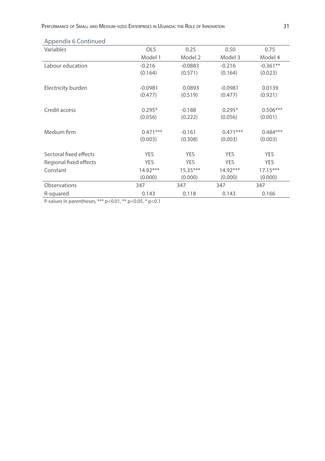| ppenanto continuea     |            |            |            |            |
|------------------------|------------|------------|------------|------------|
| Variables              | <b>OLS</b> | 0.25       | 0.50       | 0.75       |
|                        | Model 1    | Model 2    | Model 3    | Model 4    |
| Labour education       | $-0.216$   | $-0.0883$  | $-0.216$   | $-0.361**$ |
|                        | (0.164)    | (0.571)    | (0.164)    | (0.023)    |
|                        |            |            |            |            |
| Electricity burden     | $-0.0981$  | 0.0893     | $-0.0981$  | 0.0139     |
|                        | (0.477)    | (0.519)    | (0.477)    | (0.921)    |
|                        |            |            |            |            |
| Credit access          | $0.295*$   | $-0.188$   | $0.295*$   | $0.506***$ |
|                        | (0.056)    | (0.222)    | (0.056)    | (0.001)    |
| Medium firm            | $0.471***$ | $-0.161$   | $0.471***$ | $0.484***$ |
|                        | (0.003)    | (0.308)    | (0.003)    | (0.003)    |
|                        |            |            |            |            |
| Sectoral fixed effects | <b>YES</b> | <b>YES</b> | <b>YES</b> | <b>YES</b> |
| Regional fixed effects | <b>YES</b> | <b>YES</b> | <b>YES</b> | <b>YES</b> |
| Constant               | $14.92***$ | $15.35***$ | $14.92***$ | $17.15***$ |
|                        | (0.000)    | (0.000)    | (0.000)    | (0.000)    |
| Observations           | 347        | 347        | 347        | 347        |
| R-squared              | 0.143      | 0.118      | 0.143      | 0.166      |

### Appendix 6 Continued

P-values in parentheses, \*\*\*  $p < 0.01$ , \*\*  $p < 0.05$ , \*  $p < 0.1$